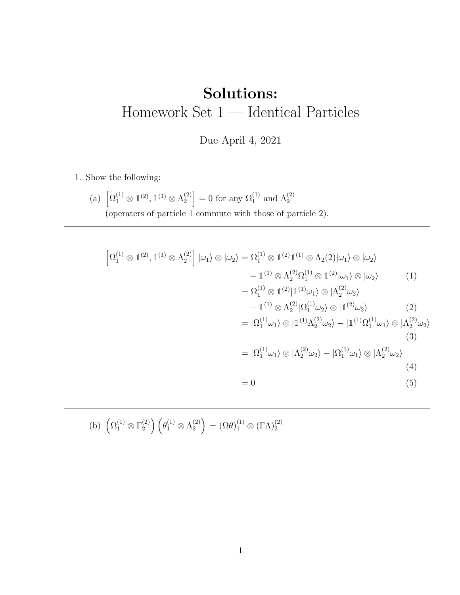## Solutions: Homework Set 1 — Identical Particles

Due April 4, 2021

1. Show the following:

(a)  $\left[\Omega_1^{(1)} \otimes \mathbb{1}^{(2)}, \mathbb{1}^{(1)} \otimes \Lambda_2^{(2)}\right]$  $\binom{2}{2}$  = 0 for any  $\Omega_1^{(1)}$  and  $\Lambda_2^{(2)}$ (operaters of particle 1 commute with those of particle 2).

$$
\left[\Omega_{1}^{(1)} \otimes \mathbb{1}^{(2)}, \mathbb{1}^{(1)} \otimes \Lambda_{2}^{(2)}\right] |\omega_{1}\rangle \otimes |\omega_{2}\rangle = \Omega_{1}^{(1)} \otimes \mathbb{1}^{(2)} \mathbb{1}^{(1)} \otimes \Lambda_{2}(2) |\omega_{1}\rangle \otimes |\omega_{2}\rangle
$$
  
\n
$$
- \mathbb{1}^{(1)} \otimes \Lambda_{2}^{(2)} \Omega_{1}^{(1)} \otimes \mathbb{1}^{(2)} |\omega_{1}\rangle \otimes |\omega_{2}\rangle
$$
  
\n
$$
- \mathbb{1}^{(1)} \otimes \Lambda_{2}^{(2)} |\Omega_{1}^{(1)} \omega_{1}\rangle \otimes |\Lambda_{2}^{(2)} \omega_{2}\rangle
$$
  
\n
$$
- \mathbb{1}^{(1)} \otimes \Lambda_{2}^{(2)} |\Omega_{1}^{(1)} \omega_{2}\rangle \otimes |\mathbb{1}^{(2)} \omega_{2}\rangle
$$
  
\n
$$
= |\Omega_{1}^{(1)} \omega_{1}\rangle \otimes |\mathbb{1}^{(1)} \Lambda_{2}^{(2)} \omega_{2}\rangle - |\mathbb{1}^{(1)} \Omega_{1}^{(1)} \omega_{1}\rangle \otimes |\Lambda_{2}^{(2)} \omega_{2}\rangle
$$
  
\n
$$
= |\Omega_{1}^{(1)} \omega_{1}\rangle \otimes |\Lambda_{2}^{(2)} \omega_{2}\rangle - |\Omega_{1}^{(1)} \omega_{1}\rangle \otimes |\Lambda_{2}^{(2)} \omega_{2}\rangle
$$
  
\n
$$
= 0
$$
  
\n(5)

(b)  $\left(\Omega_1^{(1)} \otimes \Gamma_2^{(2)}\right)$  $\left(\begin{smallmatrix} (2) \ 2 \end{smallmatrix}\right) \left(\begin{smallmatrix} \theta_1^{(1)} \otimes \Lambda_2^{(2)} \end{smallmatrix}\right)$  $\binom{2}{2} = (\Omega \theta)_{1}^{(1)} \otimes (\Gamma \Lambda)_{2}^{(2)}$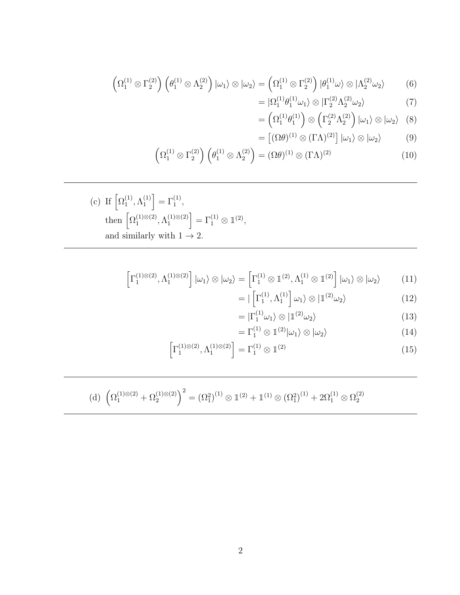(d) 
$$
\left(\Omega_1^{(1)\otimes(2)} + \Omega_2^{(1)\otimes(2)}\right)^2 = \left(\Omega_1^2\right)^{(1)} \otimes \mathbb{1}^{(2)} + \mathbb{1}^{(1)} \otimes \left(\Omega_1^2\right)^{(1)} + 2\Omega_1^{(1)} \otimes \Omega_2^{(2)}
$$

$$
\begin{bmatrix} 1 & 1 & \cdots & 1 \\ 1 & \cdots & 1 & 1 \end{bmatrix} \begin{bmatrix} 1 & \cdots & 1 \\ 1 & \cdots & 1 \end{bmatrix} \begin{bmatrix} 1 & \cdots & 1 \\ 1 & \cdots & 1 \end{bmatrix}
$$

$$
\left[\Gamma_1^{(1)\otimes(2)}, \Lambda_1^{(1)\otimes(2)}\right] = \Gamma_1^{(1)} \otimes \mathbb{1}^{(2)} \tag{15}
$$

$$
= \Gamma_1^{(1)} \otimes \mathbb{1}^{(2)} |\omega_1\rangle \otimes |\omega_2\rangle \tag{14}
$$

$$
= | \left[ \Gamma_1^{(1)}, \Lambda_1^{(1)} \right] \omega_1 \rangle \otimes | \mathbb{1}^{(2)} \omega_2 \rangle
$$
\n
$$
= | \Gamma_1^{(1)} \omega_1 \rangle \otimes | \mathbb{1}^{(2)} \omega_2 \rangle
$$
\n(12)\n(13)

$$
\left[\Gamma_1^{(1)\otimes(2)},\Lambda_1^{(1)\otimes(2)}\right]\left|\omega_1\right\rangle\otimes\left|\omega_2\right\rangle=\left[\Gamma_1^{(1)}\otimes\mathbb{1}^{(2)},\Lambda_1^{(1)}\otimes\mathbb{1}^{(2)}\right]\left|\omega_1\right\rangle\otimes\left|\omega_2\right\rangle\tag{11}
$$

(c) If 
$$
\left[\Omega_1^{(1)}, \Lambda_1^{(1)}\right] = \Gamma_1^{(1)},
$$
  
then  $\left[\Omega_1^{(1)\otimes(2)}, \Lambda_1^{(1)\otimes(2)}\right] = \Gamma_1^{(1)} \otimes \mathbb{1}^{(2)},$   
and similarly with  $1 \to 2$ .

$$
\left(\Omega_1^{(1)} \otimes \Gamma_2^{(2)}\right) \left(\theta_1^{(1)} \otimes \Lambda_2^{(2)}\right) = \left(\Omega \theta\right)^{(1)} \otimes \left(\Gamma \Lambda\right)^{(2)} \tag{10}
$$

$$
= \left(\Omega_1^{(1)}\theta_1^{(1)}\right) \otimes \left(\Gamma_2^{(2)}\Lambda_2^{(2)}\right) |\omega_1\rangle \otimes |\omega_2\rangle \quad (8)
$$

$$
= \left[ (\Omega \theta)^{(1)} \otimes (\Gamma \Lambda)^{(2)} \right] |\omega_1\rangle \otimes |\omega_2\rangle \quad (9)
$$

$$
= |\Omega_1^{(1)} \theta_1^{(1)} \omega_1 \rangle \otimes |\Gamma_2^{(2)} \Lambda_2^{(2)} \omega_2 \rangle \tag{7}
$$

$$
= (\Omega_1^{(1)} \theta_1^{(1)}) \otimes (\Gamma_2^{(2)} \Lambda_2^{(2)}) |\omega_1 \rangle \otimes |\omega_2 \rangle \tag{8}
$$

$$
= |\Omega_1^{(1)} \theta_1^{(1)} \omega_1 \rangle \otimes |\Gamma_2^{(2)} \Lambda_2^{(2)} \omega_2 \rangle \tag{7}
$$

$$
\left(\Omega_1^{(1)} \otimes \Gamma_2^{(2)}\right) \left(\theta_1^{(1)} \otimes \Lambda_2^{(2)}\right) |\omega_1\rangle \otimes |\omega_2\rangle = \left(\Omega_1^{(1)} \otimes \Gamma_2^{(2)}\right) |\theta_1^{(1)} \omega\rangle \otimes |\Lambda_2^{(2)} \omega_2\rangle \tag{6}
$$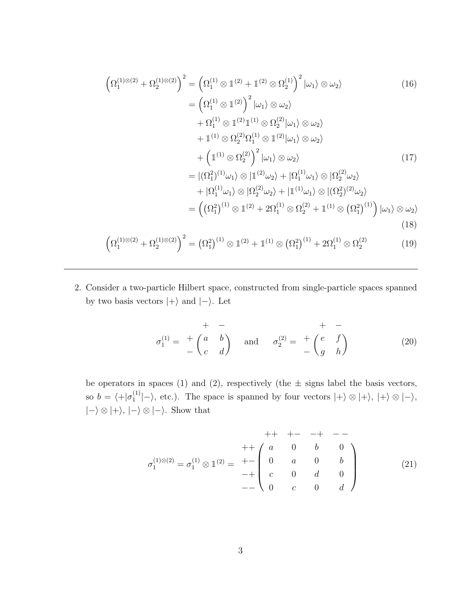$$
\left(\Omega_{1}^{(1)\otimes(2)} + \Omega_{2}^{(1)\otimes(2)}\right)^{2} = \left(\Omega_{1}^{(1)} \otimes \mathbb{1}^{(2)} + \mathbb{1}^{(2)} \otimes \Omega_{2}^{(1)}\right)^{2} |\omega_{1}\rangle \otimes \omega_{2}\rangle
$$
\n
$$
= \left(\Omega_{1}^{(1)} \otimes \mathbb{1}^{(2)}\right)^{2} |\omega_{1}\rangle \otimes \omega_{2}\rangle
$$
\n
$$
+ \Omega_{1}^{(1)} \otimes \mathbb{1}^{(2)} \mathbb{1}^{(1)} \otimes \Omega_{2}^{(2)} |\omega_{1}\rangle \otimes \omega_{2}\rangle
$$
\n
$$
+ \mathbb{1}^{(1)} \otimes \Omega_{2}^{(2)} \Omega_{1}^{(1)} \otimes \mathbb{1}^{(2)} |\omega_{1}\rangle \otimes \omega_{2}\rangle
$$
\n
$$
+ \left(\mathbb{1}^{(1)} \otimes \Omega_{2}^{(2)}\right)^{2} |\omega_{1}\rangle \otimes \omega_{2}\rangle
$$
\n
$$
= |(\Omega_{1}^{2})^{(1)}\omega_{1}\rangle \otimes |\mathbb{1}^{(2)}\omega_{2}\rangle + |\Omega_{1}^{(1)}\omega_{1}\rangle \otimes |\Omega_{2}^{(2)}\omega_{2}\rangle
$$
\n
$$
+ |\Omega_{1}^{(1)}\omega_{1}\rangle \otimes |\Omega_{2}^{(2)}\omega_{2}\rangle + |\mathbb{1}^{(1)}\omega_{1}\rangle \otimes |(\Omega_{2}^{2})^{(2)}\omega_{2}\rangle
$$
\n
$$
= \left((\Omega_{1}^{2})^{(1)} \otimes \mathbb{1}^{(2)} + 2\Omega_{1}^{(1)} \otimes \Omega_{2}^{(2)} + \mathbb{1}^{(1)} \otimes (\Omega_{1}^{2})^{(1)}) |\omega_{1}\rangle \otimes \omega_{2}\rangle
$$
\n
$$
= \left((\Omega_{1}^{2})^{(1)} \otimes \mathbb{1}^{(2)} + \mathbb{1}^{(1)} \otimes (\Omega_{2}^{2})^{(1)} + 2\Omega_{1}^{(1)} \otimes \Omega_{2}^{(2)}
$$
\n
$$
(18)
$$
\n
$$
\left(\Omega^{(1)\otimes(2)} + \Omega^{(1)\otimes(
$$

$$
\left(\Omega_1^{(1)\otimes(2)} + \Omega_2^{(1)\otimes(2)}\right)^2 = \left(\Omega_1^2\right)^{(1)} \otimes \mathbb{1}^{(2)} + \mathbb{1}^{(1)} \otimes \left(\Omega_1^2\right)^{(1)} + 2\Omega_1^{(1)} \otimes \Omega_2^{(2)} \tag{19}
$$

2. Consider a two-particle Hilbert space, constructed from single-particle spaces spanned by two basis vectors  $|+\rangle$  and  $|-\rangle$ . Let

$$
\sigma_1^{(1)} = \begin{pmatrix} + & - & & + & - \\ a & b & & \\ c & d & & \end{pmatrix} \quad \text{and} \quad \sigma_2^{(2)} = \begin{pmatrix} + & - & & + \\ b & b & & \\ d & b & & \end{pmatrix} \tag{20}
$$

be operators in spaces (1) and (2), respectively (the  $\pm$  signs label the basis vectors, so  $b = \langle +| \sigma_1^{(1)} \rangle$  $\binom{1}{1}$ , etc.). The space is spanned by four vectors  $|+\rangle \otimes |+\rangle$ ,  $|+\rangle \otimes |-\rangle$ ,  $|-\rangle \otimes |+\rangle, |-\rangle \otimes |-\rangle.$  Show that

$$
+ + + - - + - -
$$
\n
$$
\sigma_1^{(1)\otimes(2)} = \sigma_1^{(1)} \otimes 1^{(2)} = + - \begin{pmatrix} + + - - + - - - - \\ a & 0 & b & 0 \\ 0 & a & 0 & b \\ c & 0 & d & 0 \\ 0 & c & 0 & d \end{pmatrix}
$$
\n(21)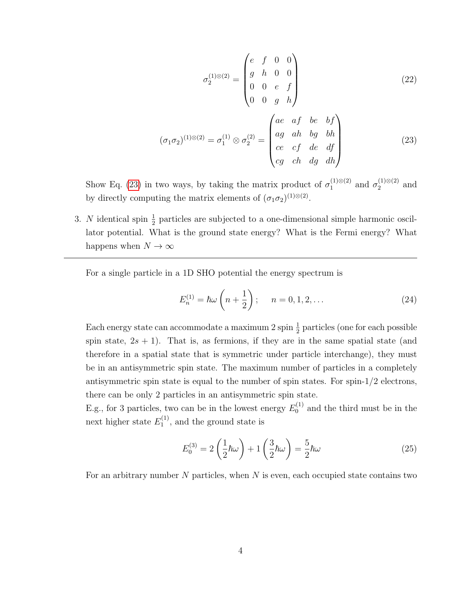$$
\sigma_2^{(1)\otimes(2)} = \begin{pmatrix} e & f & 0 & 0 \\ g & h & 0 & 0 \\ 0 & 0 & e & f \\ 0 & 0 & g & h \end{pmatrix}
$$
 (22)

<span id="page-3-0"></span>
$$
(\sigma_1 \sigma_2)^{(1)\otimes(2)} = \sigma_1^{(1)} \otimes \sigma_2^{(2)} = \begin{pmatrix} ae & af & be & bf \\ ag & ah & bg & bh \\ ce & cf & de & df \\ cg & ch & dg & dh \end{pmatrix}
$$
 (23)

Show Eq. [\(23\)](#page-3-0) in two ways, by taking the matrix product of  $\sigma_1^{(1)\otimes(2)}$  $\frac{(1)⊗(2)}{1}$  and  $σ_2^{(1)⊗(2)}$  $_2^{(1)\otimes(2)}$  and by directly computing the matrix elements of  $(\sigma_1 \sigma_2)^{(1) \otimes (2)}$ .

3. N identical spin  $\frac{1}{2}$  particles are subjected to a one-dimensional simple harmonic oscillator potential. What is the ground state energy? What is the Fermi energy? What happens when  $N \to \infty$ 

For a single particle in a 1D SHO potential the energy spectrum is

$$
E_n^{(1)} = \hbar \omega \left( n + \frac{1}{2} \right); \quad n = 0, 1, 2, \dots \tag{24}
$$

Each energy state can accommodate a maximum 2 spin  $\frac{1}{2}$  particles (one for each possible spin state,  $2s + 1$ ). That is, as fermions, if they are in the same spatial state (and therefore in a spatial state that is symmetric under particle interchange), they must be in an antisymmetric spin state. The maximum number of particles in a completely antisymmetric spin state is equal to the number of spin states. For spin-1/2 electrons, there can be only 2 particles in an antisymmetric spin state.

E.g., for 3 particles, two can be in the lowest energy  $E_0^{(1)}$  $_0^{(1)}$  and the third must be in the next higher state  $E_1^{(1)}$  $_1^{(1)}$ , and the ground state is

$$
E_0^{(3)} = 2\left(\frac{1}{2}\hbar\omega\right) + 1\left(\frac{3}{2}\hbar\omega\right) = \frac{5}{2}\hbar\omega\tag{25}
$$

For an arbitrary number  $N$  particles, when  $N$  is even, each occupied state contains two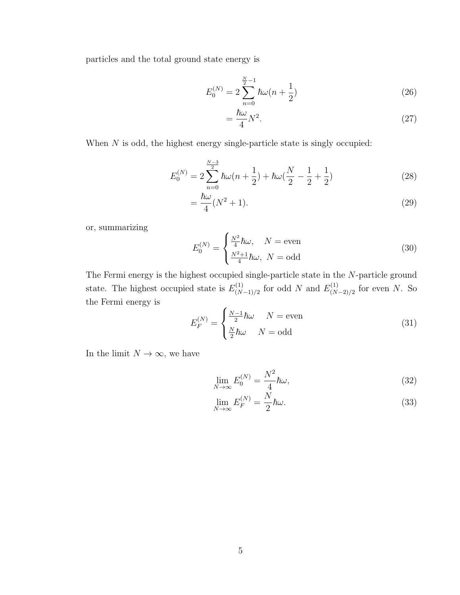particles and the total ground state energy is

$$
E_0^{(N)} = 2\sum_{n=0}^{\frac{N}{2}-1} \hbar \omega (n + \frac{1}{2})
$$
\n(26)

$$
=\frac{\hbar\omega}{4}N^2.\tag{27}
$$

When  $N$  is odd, the highest energy single-particle state is singly occupied:

$$
E_0^{(N)} = 2\sum_{n=0}^{\frac{N-3}{2}} \hbar \omega (n + \frac{1}{2}) + \hbar \omega (\frac{N}{2} - \frac{1}{2} + \frac{1}{2})
$$
 (28)

$$
=\frac{\hbar\omega}{4}(N^2+1).
$$
\n(29)

or, summarizing

$$
E_0^{(N)} = \begin{cases} \frac{N^2}{4} \hbar \omega, & N = \text{even} \\ \frac{N^2 + 1}{4} \hbar \omega, & N = \text{odd} \end{cases}
$$
 (30)

The Fermi energy is the highest occupied single-particle state in the N-particle ground state. The highest occupied state is  $E_{(N)}^{(1)}$  $\chi^{(1)}_{(N-1)/2}$  for odd N and  $E^{(1)}_{(N)}$  $\binom{(1)}{(N-2)/2}$  for even N. So the Fermi energy is

$$
E_F^{(N)} = \begin{cases} \frac{N-1}{2}\hbar\omega & N = \text{even} \\ \frac{N}{2}\hbar\omega & N = \text{odd} \end{cases}
$$
(31)

In the limit  $N\to\infty,$  we have

$$
\lim_{N \to \infty} E_0^{(N)} = \frac{N^2}{4} \hbar \omega,\tag{32}
$$

$$
\lim_{N \to \infty} E_F^{(N)} = \frac{N}{2} \hbar \omega.
$$
\n(33)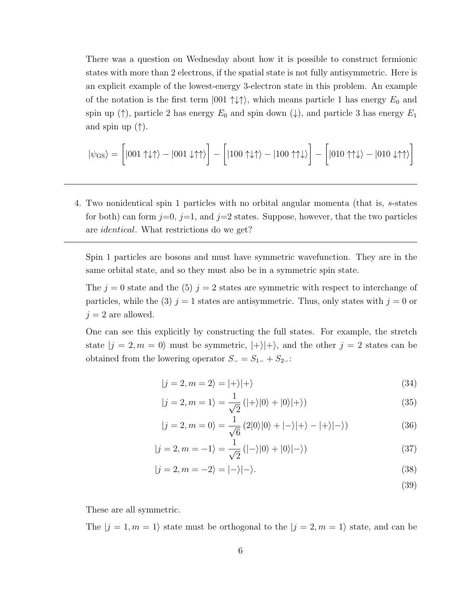There was a question on Wednesday about how it is possible to construct fermionic states with more than 2 electrons, if the spatial state is not fully antisymmetric. Here is an explicit example of the lowest-energy 3-electron state in this problem. An example of the notation is the first term  $|001 \uparrow \downarrow \uparrow \rangle$ , which means particle 1 has energy  $E_0$  and spin up ( $\uparrow$ ), particle 2 has energy  $E_0$  and spin down ( $\downarrow$ ), and particle 3 has energy  $E_1$ and spin up  $(\uparrow)$ .

$$
|\psi_{\text{GS}}\rangle = \left[|001\uparrow\downarrow\uparrow\rangle - |001\downarrow\uparrow\uparrow\rangle\right] - \left[|100\uparrow\downarrow\uparrow\rangle - |100\uparrow\uparrow\downarrow\rangle\right] - \left[|010\uparrow\uparrow\downarrow\rangle - |010\downarrow\uparrow\uparrow\rangle\right]
$$

4. Two nonidentical spin 1 particles with no orbital angular momenta (that is, s-states for both) can form  $j=0$ ,  $j=1$ , and  $j=2$  states. Suppose, however, that the two particles are identical. What restrictions do we get?

Spin 1 particles are bosons and must have symmetric wavefunction. They are in the same orbital state, and so they must also be in a symmetric spin state.

The  $j = 0$  state and the (5)  $j = 2$  states are symmetric with respect to interchange of particles, while the (3)  $j = 1$  states are antisymmetric. Thus, only states with  $j = 0$  or  $j = 2$  are allowed.

One can see this explicitly by constructing the full states. For example, the stretch state  $|j = 2, m = 0\rangle$  must be symmetric,  $|+\rangle |+\rangle$ , and the other  $j = 2$  states can be obtained from the lowering operator  $S_ = S_{1-} + S_{2-}$ :

$$
|j=2,m=2\rangle = |+\rangle |+\rangle \tag{34}
$$

$$
|j=2, m=1\rangle = \frac{1}{\sqrt{2}} (|+\rangle |0\rangle + |0\rangle |+\rangle)
$$
 (35)

$$
|j=2, m=0\rangle = \frac{1}{\sqrt{6}} (2|0\rangle|0\rangle + |-\rangle|+\rangle - |+\rangle|-\rangle)
$$
 (36)

$$
|j=2, m=-1\rangle = \frac{1}{\sqrt{2}}(|-\rangle|0\rangle+|0\rangle|-\rangle)
$$
\n(37)

$$
|j=2,m=-2\rangle = |-\rangle|-\rangle. \tag{38}
$$

(39)

These are all symmetric.

The  $|j = 1, m = 1\rangle$  state must be orthogonal to the  $|j = 2, m = 1\rangle$  state, and can be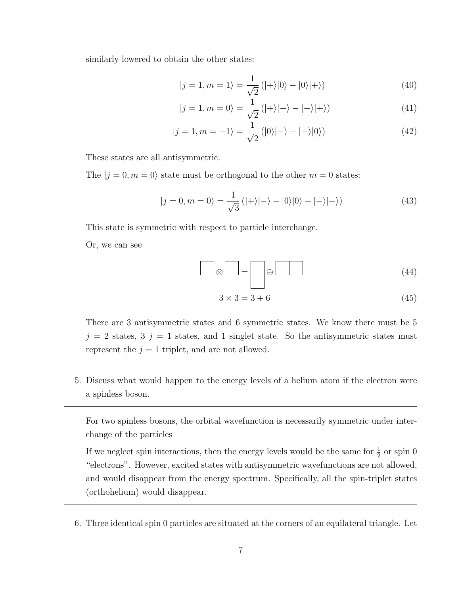similarly lowered to obtain the other states:

$$
|j=1, m=1\rangle = \frac{1}{\sqrt{2}} (|+\rangle |0\rangle - |0\rangle |+\rangle)
$$
 (40)

$$
|j=1, m=0\rangle = \frac{1}{\sqrt{2}}(|+\rangle|-\rangle - |-\rangle|+\rangle)
$$
\n(41)

$$
|j=1, m=-1\rangle = \frac{1}{\sqrt{2}} (|0\rangle|-\rangle - |-\rangle|0\rangle)
$$
 (42)

These states are all antisymmetric.

The  $|j = 0, m = 0\rangle$  state must be orthogonal to the other  $m = 0$  states:

$$
|j=0,m=0\rangle = \frac{1}{\sqrt{3}}(|+\rangle|-\rangle-|0\rangle|0\rangle+|-\rangle|+\rangle)
$$
\n(43)

This state is symmetric with respect to particle interchange.

Or, we can see

$$
\boxed{\otimes} \boxed{\phantom{0}} = \boxed{\phantom{0}} \oplus \boxed{\phantom{0}} \tag{44}
$$

$$
3 \times 3 = 3 + 6 \tag{45}
$$

There are 3 antisymmetric states and 6 symmetric states. We know there must be 5  $j = 2$  states,  $3 \, j = 1$  states, and 1 singlet state. So the antisymmetric states must represent the  $j = 1$  triplet, and are not allowed.

5. Discuss what would happen to the energy levels of a helium atom if the electron were a spinless boson.

For two spinless bosons, the orbital wavefunction is necessarily symmetric under interchange of the particles

If we neglect spin interactions, then the energy levels would be the same for  $\frac{1}{2}$  or spin 0 "electrons". However, excited states with antisymmetric wavefunctions are not allowed, and would disappear from the energy spectrum. Specifically, all the spin-triplet states (orthohelium) would disappear.

6. Three identical spin 0 particles are situated at the corners of an equilateral triangle. Let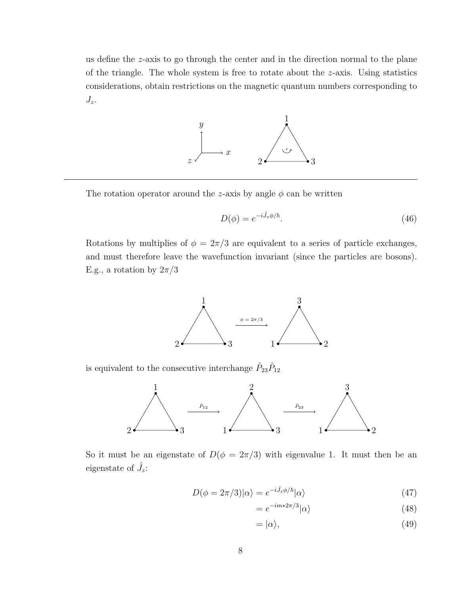us define the z-axis to go through the center and in the direction normal to the plane of the triangle. The whole system is free to rotate about the z-axis. Using statistics considerations, obtain restrictions on the magnetic quantum numbers corresponding to  $J_z$ .



The rotation operator around the z-axis by angle  $\phi$  can be written

$$
D(\phi) = e^{-i\hat{J}_z \phi/\hbar}.\tag{46}
$$

Rotations by multiplies of  $\phi = 2\pi/3$  are equivalent to a series of particle exchanges, and must therefore leave the wavefunction invariant (since the particles are bosons). E.g., a rotation by  $2\pi/3$ 



is equivalent to the consecutive interchange  $\hat{P}_{23}\hat{P}_{12}$ 



So it must be an eigenstate of  $D(\phi = 2\pi/3)$  with eigenvalue 1. It must then be an eigenstate of  $\hat{J}_z$ :

$$
D(\phi = 2\pi/3)|\alpha\rangle = e^{-i\hat{J}_z\phi/\hbar}|\alpha\rangle
$$
\n(47)

$$
=e^{-im*2\pi/3}|\alpha\rangle\tag{48}
$$

$$
= |\alpha\rangle, \tag{49}
$$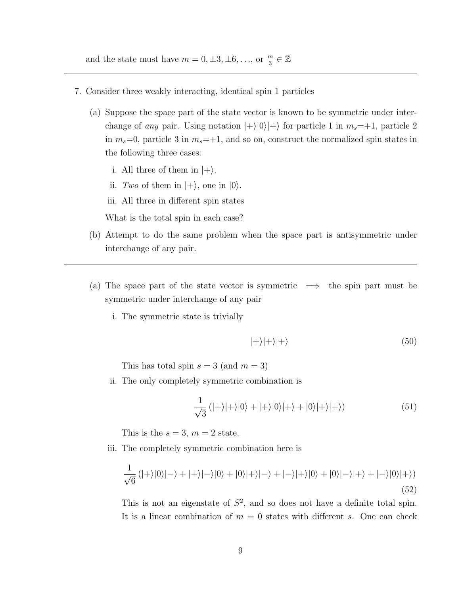and the state must have  $m = 0, \pm 3, \pm 6, \ldots$ , or  $\frac{m}{3} \in \mathbb{Z}$ 

- 7. Consider three weakly interacting, identical spin 1 particles
	- (a) Suppose the space part of the state vector is known to be symmetric under interchange of any pair. Using notation  $|+\rangle|0\rangle|+\rangle$  for particle 1 in  $m_s=+1$ , particle 2 in  $m_s=0$ , particle 3 in  $m_s=+1$ , and so on, construct the normalized spin states in the following three cases:
		- i. All three of them in  $|+\rangle$ .
		- ii. Two of them in  $|+\rangle$ , one in  $|0\rangle$ .
		- iii. All three in different spin states

What is the total spin in each case?

- (b) Attempt to do the same problem when the space part is antisymmetric under interchange of any pair.
- (a) The space part of the state vector is symmetric  $\implies$  the spin part must be symmetric under interchange of any pair
	- i. The symmetric state is trivially

$$
|+\rangle|+\rangle|+\rangle \tag{50}
$$

This has total spin  $s = 3$  (and  $m = 3$ )

ii. The only completely symmetric combination is

$$
\frac{1}{\sqrt{3}}\left(|+\rangle|+\rangle|0\rangle+|+\rangle|0\rangle|+\rangle+|0\rangle|+\rangle|+\rangle)
$$
\n(51)

This is the  $s = 3$ ,  $m = 2$  state.

<span id="page-8-0"></span>iii. The completely symmetric combination here is

$$
\frac{1}{\sqrt{6}}\left(|+\rangle|0\rangle|-\rangle+|+\rangle|-\rangle|0\rangle+|0\rangle|+\rangle|-\rangle+|-\rangle|+\rangle|0\rangle+|0\rangle|-\rangle|+\rangle+|-\rangle|0\rangle|+\rangle)
$$
\n(52)

This is not an eigenstate of  $S^2$ , and so does not have a definite total spin. It is a linear combination of  $m = 0$  states with different s. One can check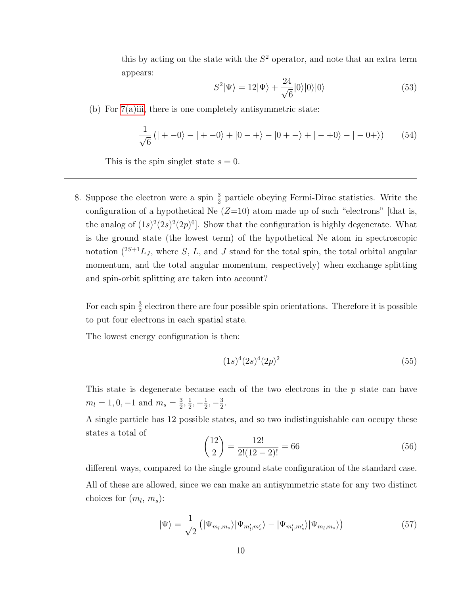this by acting on the state with the  $S<sup>2</sup>$  operator, and note that an extra term appears:

$$
S^2|\Psi\rangle = 12|\Psi\rangle + \frac{24}{\sqrt{6}}|0\rangle|0\rangle|0\rangle \tag{53}
$$

(b) For [7\(a\)iii,](#page-8-0) there is one completely antisymmetric state:

$$
\frac{1}{\sqrt{6}}\left(|+-0\rangle-|+-0\rangle+|0-+\rangle-|0+-\rangle+|-+0\rangle-|-0+\rangle\right) (54)
$$

This is the spin singlet state  $s = 0$ .

8. Suppose the electron were a spin  $\frac{3}{2}$  particle obeying Fermi-Dirac statistics. Write the configuration of a hypothetical Ne  $(Z=10)$  atom made up of such "electrons" [that is, the analog of  $(1s)^2(2s)^2(2p)^6$ . Show that the configuration is highly degenerate. What is the ground state (the lowest term) of the hypothetical Ne atom in spectroscopic notation  $(^{2S+1}L_J$ , where S, L, and J stand for the total spin, the total orbital angular momentum, and the total angular momentum, respectively) when exchange splitting and spin-orbit splitting are taken into account?

For each spin  $\frac{3}{2}$  electron there are four possible spin orientations. Therefore it is possible to put four electrons in each spatial state.

The lowest energy configuration is then:

$$
(1s)^4 (2s)^4 (2p)^2 \tag{55}
$$

This state is degenerate because each of the two electrons in the p state can have  $m_l = 1, 0, -1$  and  $m_s = \frac{3}{2}$  $\frac{3}{2}, \frac{1}{2}$  $\frac{1}{2}, -\frac{1}{2}$  $\frac{1}{2}, -\frac{3}{2}$  $\frac{3}{2}$ .

A single particle has 12 possible states, and so two indistinguishable can occupy these states a total of

$$
\binom{12}{2} = \frac{12!}{2!(12-2)!} = 66\tag{56}
$$

different ways, compared to the single ground state configuration of the standard case. All of these are allowed, since we can make an antisymmetric state for any two distinct choices for  $(m_l, m_s)$ :

$$
|\Psi\rangle = \frac{1}{\sqrt{2}} \left( |\Psi_{m_l, m_s} \rangle | \Psi_{m'_l, m'_s} \rangle - |\Psi_{m'_l, m'_s} \rangle | \Psi_{m_l, m_s} \rangle \right) \tag{57}
$$